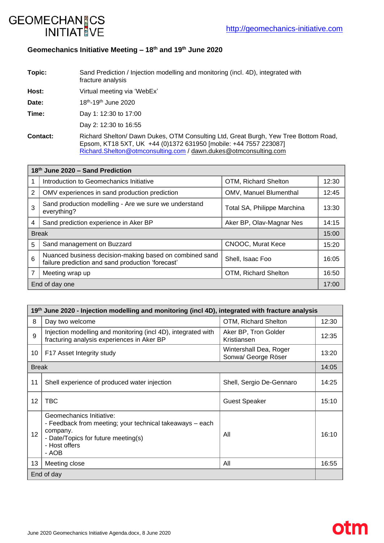**otm** 



# **Geomechanics Initiative Meeting – 18th and 19th June 2020**

**Topic:** Sand Prediction / Injection modelling and monitoring (incl. 4D), integrated with fracture analysis

**Host:** Virtual meeting via 'WebEx'

Date: 18th-19th June 2020

**Time:** Day 1: 12:30 to 17:00

Day 2: 12:30 to 16:55

**Contact:** Richard Shelton/ Dawn Dukes, OTM Consulting Ltd, Great Burgh, Yew Tree Bottom Road, Epsom, KT18 5XT, UK +44 (0)1372 631950 [mobile: +44 7557 223087] [Richard.Shelton@otmconsulting.com](mailto:Richard.Shelton@otmconsulting.com) / [dawn.dukes@otmconsulting.com](mailto:dawn.dukes@otmconsulting.com)

| 18th June 2020 - Sand Prediction |                                                                                                              |                             |       |  |
|----------------------------------|--------------------------------------------------------------------------------------------------------------|-----------------------------|-------|--|
|                                  | Introduction to Geomechanics Initiative                                                                      | OTM, Richard Shelton        | 12:30 |  |
| 2                                | OMV experiences in sand production prediction                                                                | OMV, Manuel Blumenthal      | 12:45 |  |
| 3                                | Sand production modelling - Are we sure we understand<br>everything?                                         | Total SA, Philippe Marchina | 13:30 |  |
| 4                                | Sand prediction experience in Aker BP                                                                        | Aker BP, Olav-Magnar Nes    | 14:15 |  |
| <b>Break</b>                     |                                                                                                              |                             | 15:00 |  |
| 5                                | Sand management on Buzzard                                                                                   | CNOOC, Murat Kece           | 15:20 |  |
| 6                                | Nuanced business decision-making based on combined sand<br>failure prediction and sand production 'forecast' | Shell, Isaac Foo            | 16:05 |  |
|                                  | Meeting wrap up                                                                                              | OTM, Richard Shelton        | 16:50 |  |
| End of day one                   |                                                                                                              |                             |       |  |

| 19th June 2020 - Injection modelling and monitoring (incl 4D), integrated with fracture analysis |                                                                                                                                                                   |                                               |       |  |  |
|--------------------------------------------------------------------------------------------------|-------------------------------------------------------------------------------------------------------------------------------------------------------------------|-----------------------------------------------|-------|--|--|
| 8                                                                                                | Day two welcome                                                                                                                                                   | OTM, Richard Shelton                          | 12:30 |  |  |
| 9                                                                                                | Injection modelling and monitoring (incl 4D), integrated with<br>fracturing analysis experiences in Aker BP                                                       | Aker BP, Tron Golder<br>Kristiansen           | 12:35 |  |  |
| 10                                                                                               | F17 Asset Integrity study                                                                                                                                         | Wintershall Dea, Roger<br>Sonwa/ George Röser | 13:20 |  |  |
| <b>Break</b>                                                                                     |                                                                                                                                                                   |                                               | 14:05 |  |  |
| 11                                                                                               | Shell experience of produced water injection                                                                                                                      | Shell, Sergio De-Gennaro                      | 14:25 |  |  |
| 12                                                                                               | TBC                                                                                                                                                               | <b>Guest Speaker</b>                          | 15:10 |  |  |
| 12                                                                                               | Geomechanics Initiative:<br>- Feedback from meeting; your technical takeaways – each<br>company.<br>- Date/Topics for future meeting(s)<br>- Host offers<br>- AOB | All                                           | 16:10 |  |  |
| 13                                                                                               | Meeting close                                                                                                                                                     | All                                           | 16:55 |  |  |
| End of day                                                                                       |                                                                                                                                                                   |                                               |       |  |  |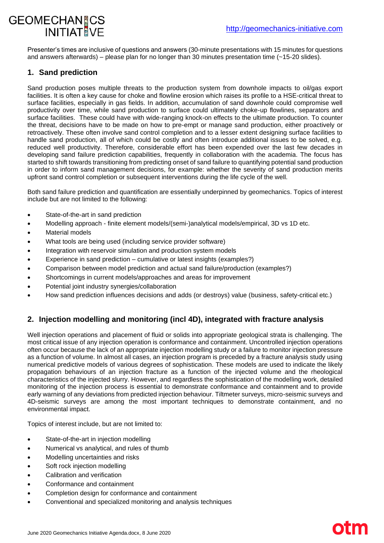# **GEOMECHAN CS INITIAT VF**

Presenter's times are inclusive of questions and answers (30-minute presentations with 15 minutes for questions and answers afterwards) – please plan for no longer than 30 minutes presentation time (~15-20 slides).

# **1. Sand prediction**

Sand production poses multiple threats to the production system from downhole impacts to oil/gas export facilities. It is often a key cause for choke and flowline erosion which raises its profile to a HSE-critical threat to surface facilities, especially in gas fields. In addition, accumulation of sand downhole could compromise well productivity over time, while sand production to surface could ultimately choke-up flowlines, separators and surface facilities. These could have with wide-ranging knock-on effects to the ultimate production. To counter the threat, decisions have to be made on how to pre-empt or manage sand production, either proactively or retroactively. These often involve sand control completion and to a lesser extent designing surface facilities to handle sand production, all of which could be costly and often introduce additional issues to be solved, e.g. reduced well productivity. Therefore, considerable effort has been expended over the last few decades in developing sand failure prediction capabilities, frequently in collaboration with the academia. The focus has started to shift towards transitioning from predicting onset of sand failure to quantifying potential sand production in order to inform sand management decisions, for example: whether the severity of sand production merits upfront sand control completion or subsequent interventions during the life cycle of the well.

Both sand failure prediction and quantification are essentially underpinned by geomechanics. Topics of interest include but are not limited to the following:

- State-of-the-art in sand prediction
- Modelling approach finite element models/(semi-)analytical models/empirical, 3D vs 1D etc.
- Material models
- What tools are being used (including service provider software)
- Integration with reservoir simulation and production system models
- Experience in sand prediction cumulative or latest insights (examples?)
- Comparison between model prediction and actual sand failure/production (examples?)
- Shortcomings in current models/approaches and areas for improvement
- Potential joint industry synergies/collaboration
- How sand prediction influences decisions and adds (or destroys) value (business, safety-critical etc.)

# **2. Injection modelling and monitoring (incl 4D), integrated with fracture analysis**

Well injection operations and placement of fluid or solids into appropriate geological strata is challenging. The most critical issue of any injection operation is conformance and containment. Uncontrolled injection operations often occur because the lack of an appropriate injection modelling study or a failure to monitor injection pressure as a function of volume. In almost all cases, an injection program is preceded by a fracture analysis study using numerical predictive models of various degrees of sophistication. These models are used to indicate the likely propagation behaviours of an injection fracture as a function of the injected volume and the rheological characteristics of the injected slurry. However, and regardless the sophistication of the modelling work, detailed monitoring of the injection process is essential to demonstrate conformance and containment and to provide early warning of any deviations from predicted injection behaviour. Tiltmeter surveys, micro-seismic surveys and 4D-seismic surveys are among the most important techniques to demonstrate containment, and no environmental impact.

Topics of interest include, but are not limited to:

- State-of-the-art in injection modelling
- Numerical vs analytical, and rules of thumb
- Modelling uncertainties and risks
- Soft rock injection modelling
- Calibration and verification
- Conformance and containment
- Completion design for conformance and containment
- Conventional and specialized monitoring and analysis techniques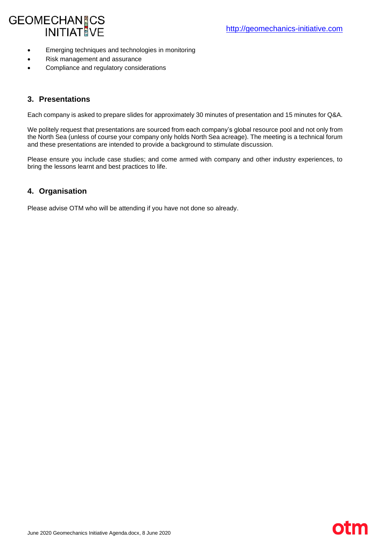# GEOMECHAN CS<br>INITIAT VE

- Emerging techniques and technologies in monitoring
- Risk management and assurance
- Compliance and regulatory considerations

#### **3. Presentations**

Each company is asked to prepare slides for approximately 30 minutes of presentation and 15 minutes for Q&A.

We politely request that presentations are sourced from each company's global resource pool and not only from the North Sea (unless of course your company only holds North Sea acreage). The meeting is a technical forum and these presentations are intended to provide a background to stimulate discussion.

Please ensure you include case studies; and come armed with company and other industry experiences, to bring the lessons learnt and best practices to life.

## **4. Organisation**

Please advise OTM who will be attending if you have not done so already.

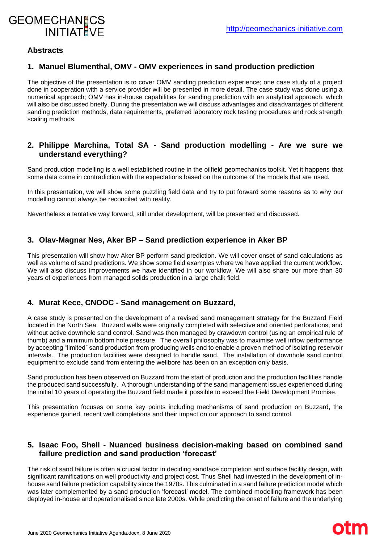

oth

#### **Abstracts**

#### **1. Manuel Blumenthal, OMV - OMV experiences in sand production prediction**

The objective of the presentation is to cover OMV sanding prediction experience; one case study of a project done in cooperation with a service provider will be presented in more detail. The case study was done using a numerical approach; OMV has in-house capabilities for sanding prediction with an analytical approach, which will also be discussed briefly. During the presentation we will discuss advantages and disadvantages of different sanding prediction methods, data requirements, preferred laboratory rock testing procedures and rock strength scaling methods.

#### **2. Philippe Marchina, Total SA - Sand production modelling - Are we sure we understand everything?**

Sand production modelling is a well established routine in the oilfield geomechanics toolkit. Yet it happens that some data come in contradiction with the expectations based on the outcome of the models that are used.

In this presentation, we will show some puzzling field data and try to put forward some reasons as to why our modelling cannot always be reconciled with reality.

Nevertheless a tentative way forward, still under development, will be presented and discussed.

#### **3. Olav-Magnar Nes, Aker BP – Sand prediction experience in Aker BP**

This presentation will show how Aker BP perform sand prediction. We will cover onset of sand calculations as well as volume of sand predictions. We show some field examples where we have applied the current workflow. We will also discuss improvements we have identified in our workflow. We will also share our more than 30 years of experiences from managed solids production in a large chalk field.

#### **4. Murat Kece, CNOOC - Sand management on Buzzard,**

A case study is presented on the development of a revised sand management strategy for the Buzzard Field located in the North Sea. Buzzard wells were originally completed with selective and oriented perforations, and without active downhole sand control. Sand was then managed by drawdown control (using an empirical rule of thumb) and a minimum bottom hole pressure. The overall philosophy was to maximise well inflow performance by accepting "limited" sand production from producing wells and to enable a proven method of isolating reservoir intervals. The production facilities were designed to handle sand. The installation of downhole sand control equipment to exclude sand from entering the wellbore has been on an exception only basis.

Sand production has been observed on Buzzard from the start of production and the production facilities handle the produced sand successfully. A thorough understanding of the sand management issues experienced during the initial 10 years of operating the Buzzard field made it possible to exceed the Field Development Promise.

This presentation focuses on some key points including mechanisms of sand production on Buzzard, the experience gained, recent well completions and their impact on our approach to sand control.

#### **5. Isaac Foo, Shell - Nuanced business decision-making based on combined sand failure prediction and sand production 'forecast'**

The risk of sand failure is often a crucial factor in deciding sandface completion and surface facility design, with significant ramifications on well productivity and project cost. Thus Shell had invested in the development of inhouse sand failure prediction capability since the 1970s. This culminated in a sand failure prediction model which was later complemented by a sand production 'forecast' model. The combined modelling framework has been deployed in-house and operationalised since late 2000s. While predicting the onset of failure and the underlying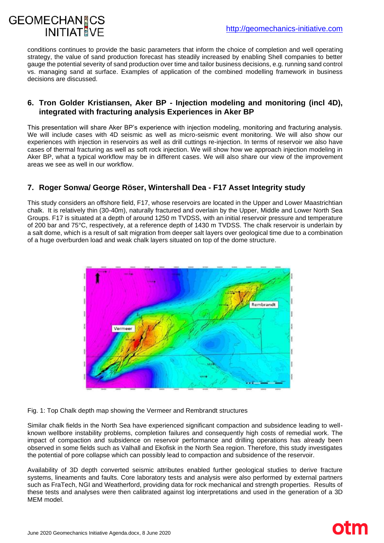

otm

conditions continues to provide the basic parameters that inform the choice of completion and well operating strategy, the value of sand production forecast has steadily increased by enabling Shell companies to better gauge the potential severity of sand production over time and tailor business decisions, e.g. running sand control vs. managing sand at surface. Examples of application of the combined modelling framework in business decisions are discussed.

#### **6. Tron Golder Kristiansen, Aker BP - Injection modeling and monitoring (incl 4D), integrated with fracturing analysis Experiences in Aker BP**

This presentation will share Aker BP's experience with injection modeling, monitoring and fracturing analysis. We will include cases with 4D seismic as well as micro-seismic event monitoring. We will also show our experiences with injection in reservoirs as well as drill cuttings re-injection. In terms of reservoir we also have cases of thermal fracturing as well as soft rock injection. We will show how we approach injection modeling in Aker BP, what a typical workflow may be in different cases. We will also share our view of the improvement areas we see as well in our workflow.

# **7. Roger Sonwa/ George Röser, Wintershall Dea - F17 Asset Integrity study**

This study considers an offshore field, F17, whose reservoirs are located in the Upper and Lower Maastrichtian chalk. It is relatively thin (30-40m), naturally fractured and overlain by the Upper, Middle and Lower North Sea Groups. F17 is situated at a depth of around 1250 m TVDSS, with an initial reservoir pressure and temperature of 200 bar and 75°C, respectively, at a reference depth of 1430 m TVDSS. The chalk reservoir is underlain by a salt dome, which is a result of salt migration from deeper salt layers over geological time due to a combination of a huge overburden load and weak chalk layers situated on top of the dome structure.



Fig. 1: Top Chalk depth map showing the Vermeer and Rembrandt structures

Similar chalk fields in the North Sea have experienced significant compaction and subsidence leading to wellknown wellbore instability problems, completion failures and consequently high costs of remedial work. The impact of compaction and subsidence on reservoir performance and drilling operations has already been observed in some fields such as Valhall and Ekofisk in the North Sea region. Therefore, this study investigates the potential of pore collapse which can possibly lead to compaction and subsidence of the reservoir.

Availability of 3D depth converted seismic attributes enabled further geological studies to derive fracture systems, lineaments and faults. Core laboratory tests and analysis were also performed by external partners such as FraTech, NGI and Weatherford, providing data for rock mechanical and strength properties. Results of these tests and analyses were then calibrated against log interpretations and used in the generation of a 3D MEM model.